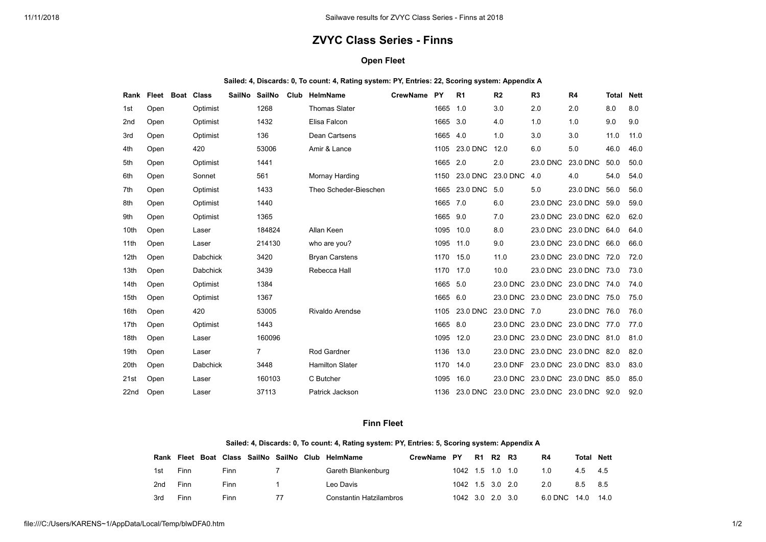## **ZVYC Class Series - Finns**

## **Open Fleet**

| Sailed: 4, Discards: 0, To count: 4, Rating system: PY, Entries: 22, Scoring system: Appendix A |
|-------------------------------------------------------------------------------------------------|
|-------------------------------------------------------------------------------------------------|

| Rank             | Fleet | <b>Boat</b> | Class           | <b>SailNo</b> | <b>SailNo</b> | Club | <b>HelmName</b>        | <b>CrewName</b> | <b>PY</b> | R <sub>1</sub> | R <sub>2</sub> | R <sub>3</sub>                  | R <sub>4</sub>         | <b>Total</b> | <b>Nett</b> |
|------------------|-------|-------------|-----------------|---------------|---------------|------|------------------------|-----------------|-----------|----------------|----------------|---------------------------------|------------------------|--------------|-------------|
| 1st              | Open  |             | Optimist        |               | 1268          |      | <b>Thomas Slater</b>   |                 | 1665      | 1.0            | 3.0            | 2.0                             | 2.0                    | 8.0          | 8.0         |
| 2 <sub>nd</sub>  | Open  |             | Optimist        |               | 1432          |      | Elisa Falcon           |                 | 1665      | 3.0            | 4.0            | 1.0                             | 1.0                    | 9.0          | 9.0         |
| 3rd              | Open  |             | Optimist        |               | 136           |      | Dean Cartsens          |                 | 1665      | 4.0            | 1.0            | 3.0                             | 3.0                    | 11.0         | 11.0        |
| 4th              | Open  |             | 420             |               | 53006         |      | Amir & Lance           |                 | 1105      | 23.0 DNC       | 12.0           | 6.0                             | 5.0                    | 46.0         | 46.0        |
| 5th              | Open  |             | Optimist        |               | 1441          |      |                        |                 | 1665 2.0  |                | 2.0            | 23.0 DNC                        | 23.0 DNC               | 50.0         | 50.0        |
| 6th              | Open  |             | Sonnet          |               | 561           |      | Mornay Harding         |                 | 1150      | 23.0 DNC       | 23.0 DNC       | 4.0                             | 4.0                    | 54.0         | 54.0        |
| 7th              | Open  |             | Optimist        |               | 1433          |      | Theo Scheder-Bieschen  |                 | 1665      | 23.0 DNC       | 5.0            | 5.0                             | 23.0 DNC               | 56.0         | 56.0        |
| 8th              | Open  |             | Optimist        |               | 1440          |      |                        |                 | 1665 7.0  |                | 6.0            | 23.0 DNC                        | 23.0 DNC               | 59.0         | 59.0        |
| 9th              | Open  |             | Optimist        |               | 1365          |      |                        |                 | 1665      | 9.0            | 7.0            | 23.0 DNC                        | 23.0 DNC               | 62.0         | 62.0        |
| 10th             | Open  |             | Laser           |               | 184824        |      | Allan Keen             |                 | 1095      | 10.0           | 8.0            | 23.0 DNC                        | 23.0 DNC 64.0          |              | 64.0        |
| 11 <sub>th</sub> | Open  |             | Laser           |               | 214130        |      | who are you?           |                 | 1095 11.0 |                | 9.0            |                                 | 23.0 DNC 23.0 DNC 66.0 |              | 66.0        |
| 12 <sub>th</sub> | Open  |             | <b>Dabchick</b> |               | 3420          |      | <b>Bryan Carstens</b>  |                 | 1170 15.0 |                | 11.0           |                                 | 23.0 DNC 23.0 DNC      | 72.0         | 72.0        |
| 13th             | Open  |             | <b>Dabchick</b> |               | 3439          |      | Rebecca Hall           |                 | 1170 17.0 |                | 10.0           | 23.0 DNC                        | 23.0 DNC               | 73.0         | 73.0        |
| 14th             | Open  |             | Optimist        |               | 1384          |      |                        |                 | 1665      | 5.0            | 23.0 DNC       |                                 | 23.0 DNC 23.0 DNC 74.0 |              | 74.0        |
| 15 <sub>th</sub> | Open  |             | Optimist        |               | 1367          |      |                        |                 | 1665      | 6.0            | 23.0 DNC       | 23.0 DNC                        | 23.0 DNC               | 75.0         | 75.0        |
| 16th             | Open  |             | 420             |               | 53005         |      | <b>Rivaldo Arendse</b> |                 | 1105      | 23.0 DNC       | 23.0 DNC 7.0   |                                 | 23.0 DNC               | 76.0         | 76.0        |
| 17th             | Open  |             | Optimist        |               | 1443          |      |                        |                 | 1665 8.0  |                | 23.0 DNC       | 23.0 DNC                        | 23.0 DNC 77.0          |              | 77.0        |
| 18th             | Open  |             | Laser           |               | 160096        |      |                        |                 | 1095      | 12.0           |                | 23.0 DNC 23.0 DNC 23.0 DNC 81.0 |                        |              | 81.0        |
| 19th             | Open  |             | Laser           |               | 7             |      | <b>Rod Gardner</b>     |                 | 1136      | 13.0           |                | 23.0 DNC 23.0 DNC 23.0 DNC 82.0 |                        |              | 82.0        |
| 20th             | Open  |             | Dabchick        |               | 3448          |      | <b>Hamilton Slater</b> |                 | 1170      | 14.0           | 23.0 DNF       | 23.0 DNC                        | 23.0 DNC 83.0          |              | 83.0        |
| 21st             | Open  |             | Laser           |               | 160103        |      | C Butcher              |                 | 1095      | 16.0           | 23.0 DNC       |                                 | 23.0 DNC 23.0 DNC 85.0 |              | 85.0        |
| 22 <sub>nd</sub> | Open  |             | Laser           |               | 37113         |      | Patrick Jackson        |                 | 1136      | 23.0 DNC       |                | 23.0 DNC 23.0 DNC 23.0 DNC 92.0 |                        |              | 92.0        |

## **Finn Fleet**

## **Sailed: 4, Discards: 0, To count: 4, Rating system: PY, Entries: 5, Scoring system: Appendix A**

| Rank            |      |      |    | Fleet Boat Class SailNo SailNo Club HelmName | CrewName PY |                  | R1 R2 R3 | R4                | <b>Total Nett</b> |     |
|-----------------|------|------|----|----------------------------------------------|-------------|------------------|----------|-------------------|-------------------|-----|
| 1st             | Finn | Finn |    | Gareth Blankenburg                           |             | 1042 1.5 1.0 1.0 |          | 1.0               | 4.5 4.5           |     |
| 2 <sub>nd</sub> | Finn | Finn |    | Leo Davis                                    |             | 1042 1.5 3.0 2.0 |          | 2.0               | 8.5               | 8.5 |
| 3rd             | Finn | Finn | 77 | Constantin Hatzilambros                      |             | 1042 3.0 2.0 3.0 |          | 6.0 DNC 14.0 14.0 |                   |     |